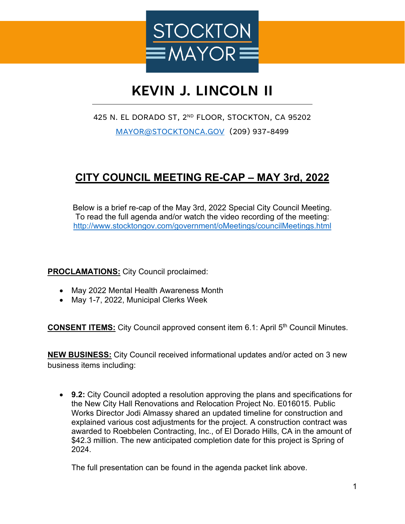

## **KEVIN J. LINCOLN II**

## 425 N. EL DORADO ST, 2ND FLOOR, STOCKTON, CA 95202

[MAYOR@STOCKTONCA.GOV](mailto:MAYOR@STOCKTONCA.GOV) (209) 937-8499

## **CITY COUNCIL MEETING RE-CAP – MAY 3rd, 2022**

Below is a brief re-cap of the May 3rd, 2022 Special City Council Meeting. To read the full agenda and/or watch the video recording of the meeting: <http://www.stocktongov.com/government/oMeetings/councilMeetings.html>

**PROCLAMATIONS:** City Council proclaimed:

- May 2022 Mental Health Awareness Month
- May 1-7, 2022, Municipal Clerks Week

**CONSENT ITEMS:** City Council approved consent item 6.1: April 5<sup>th</sup> Council Minutes.

**NEW BUSINESS:** City Council received informational updates and/or acted on 3 new business items including:

• **9.2:** City Council adopted a resolution approving the plans and specifications for the New City Hall Renovations and Relocation Project No. E016015. Public Works Director Jodi Almassy shared an updated timeline for construction and explained various cost adjustments for the project. A construction contract was awarded to Roebbelen Contracting, Inc., of El Dorado Hills, CA in the amount of \$42.3 million. The new anticipated completion date for this project is Spring of 2024.

The full presentation can be found in the agenda packet link above.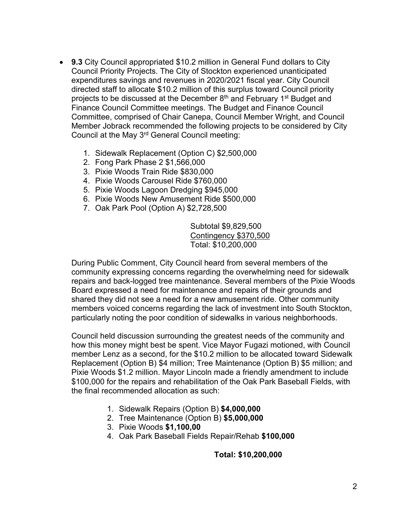- **9.3** City Council appropriated \$10.2 million in General Fund dollars to City Council Priority Projects. The City of Stockton experienced unanticipated expenditures savings and revenues in 2020/2021 fiscal year. City Council directed staff to allocate \$10.2 million of this surplus toward Council priority projects to be discussed at the December 8<sup>th</sup> and February 1<sup>st</sup> Budget and Finance Council Committee meetings. The Budget and Finance Council Committee, comprised of Chair Canepa, Council Member Wright, and Council Member Jobrack recommended the following projects to be considered by City Council at the May 3rd General Council meeting:
	- 1. Sidewalk Replacement (Option C) \$2,500,000
	- 2. Fong Park Phase 2 \$1,566,000
	- 3. Pixie Woods Train Ride \$830,000
	- 4. Pixie Woods Carousel Ride \$760,000
	- 5. Pixie Woods Lagoon Dredging \$945,000
	- 6. Pixie Woods New Amusement Ride \$500,000
	- 7. Oak Park Pool (Option A) \$2,728,500

Subtotal \$9,829,500 Contingency \$370,500 Total: \$10,200,000

During Public Comment, City Council heard from several members of the community expressing concerns regarding the overwhelming need for sidewalk repairs and back-logged tree maintenance. Several members of the Pixie Woods Board expressed a need for maintenance and repairs of their grounds and shared they did not see a need for a new amusement ride. Other community members voiced concerns regarding the lack of investment into South Stockton, particularly noting the poor condition of sidewalks in various neighborhoods.

Council held discussion surrounding the greatest needs of the community and how this money might best be spent. Vice Mayor Fugazi motioned, with Council member Lenz as a second, for the \$10.2 million to be allocated toward Sidewalk Replacement (Option B) \$4 million; Tree Maintenance (Option B) \$5 million; and Pixie Woods \$1.2 million. Mayor Lincoln made a friendly amendment to include \$100,000 for the repairs and rehabilitation of the Oak Park Baseball Fields, with the final recommended allocation as such:

- 1. Sidewalk Repairs (Option B) **\$4,000,000**
- 2. Tree Maintenance (Option B) **\$5,000,000**
- 3. Pixie Woods **\$1,100,00**
- 4. Oak Park Baseball Fields Repair/Rehab **\$100,000**

**Total: \$10,200,000**